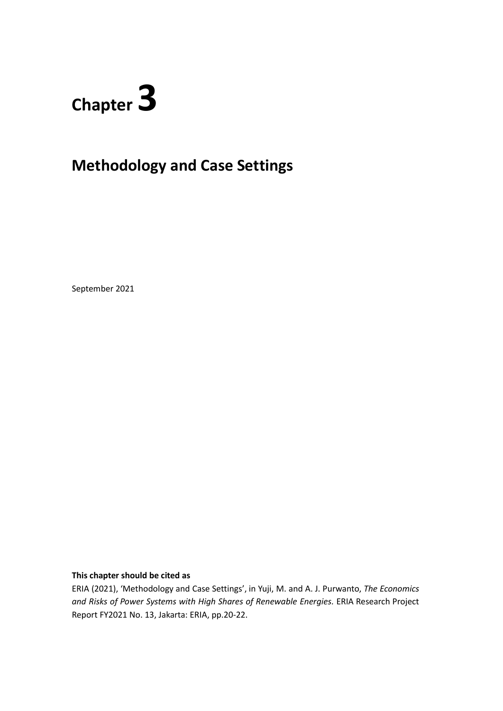# **Chapter 3**

# **Methodology and Case Settings**

September 2021

### **This chapter should be cited as**

ERIA (2021), 'Methodology and Case Settings', in Yuji, M. and A. J. Purwanto, *The Economics and Risks of Power Systems with High Shares of Renewable Energies.* ERIA Research Project Report FY2021 No. 13, Jakarta: ERIA, pp.20-22.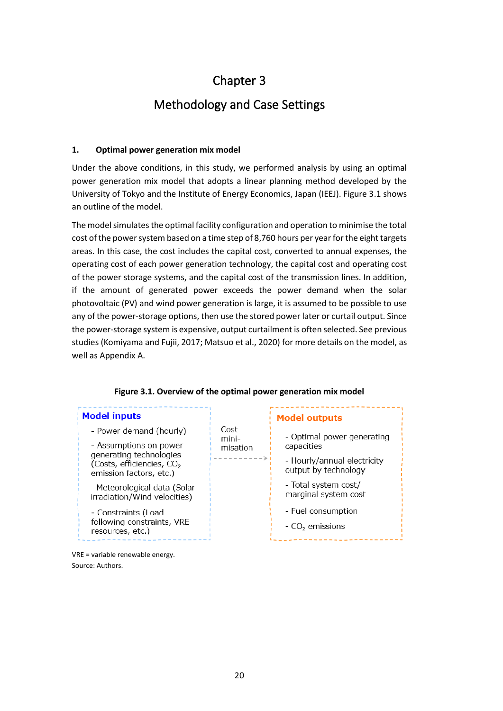# Chapter 3

## Methodology and Case Settings

#### **1. Optimal power generation mix model**

VRE = variable renewable energy.

Source: Authors.

Under the above conditions, in this study, we performed analysis by using an optimal power generation mix model that adopts a linear planning method developed by the University of Tokyo and the Institute of Energy Economics, Japan (IEEJ). Figure 3.1 shows an outline of the model.

The model simulates the optimal facility configuration and operation to minimise the total cost of the power system based on a time step of 8,760 hours per year for the eight targets areas. In this case, the cost includes the capital cost, converted to annual expenses, the operating cost of each power generation technology, the capital cost and operating cost of the power storage systems, and the capital cost of the transmission lines. In addition, if the amount of generated power exceeds the power demand when the solar photovoltaic (PV) and wind power generation is large, it is assumed to be possible to use any of the power-storage options, then use the stored power later or curtail output. Since the power-storage system is expensive, output curtailment is often selected. See previous studies (Komiyama and Fujii, 2017; Matsuo et al., 2020) for more details on the model, as well as Appendix A.

#### **Figure 3.1. Overview of the optimal power generation mix model Model inputs Model outputs** Cost - Power demand (hourly) - Optimal power generating mini-- Assumptions on power capacities misation generating technologies - Hourly/annual electricity (Costs, efficiencies, CO<sub>2</sub> output by technology emission factors, etc.) - Total system cost/ - Meteorological data (Solar marginal system cost irradiation/Wind velocities) - Fuel consumption - Constraints (Load following constraints, VRE  $-CO<sub>2</sub>$  emissions resources, etc.)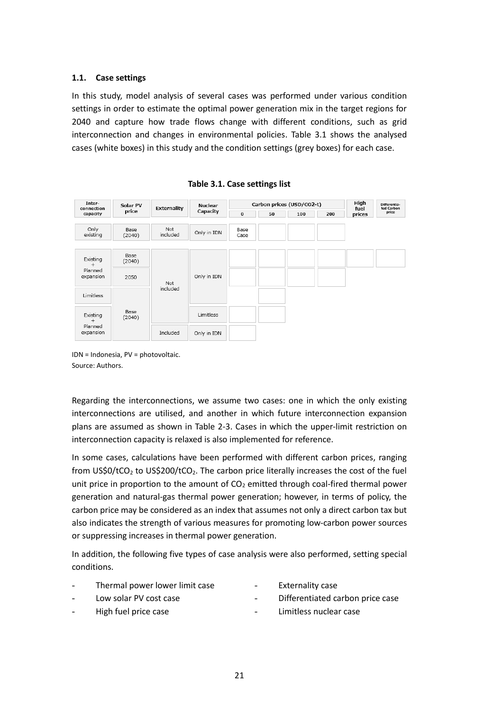#### **1.1. Case settings**

In this study, model analysis of several cases was performed under various condition settings in order to estimate the optimal power generation mix in the target regions for 2040 and capture how trade flows change with different conditions, such as grid interconnection and changes in environmental policies. Table 3.1 shows the analysed cases (white boxes) in this study and the condition settings (grey boxes) for each case.



**Table 3.1. Case settings list**

IDN = Indonesia, PV = photovoltaic. Source: Authors.

Regarding the interconnections, we assume two cases: one in which the only existing interconnections are utilised, and another in which future interconnection expansion plans are assumed as shown in Table 2-3. Cases in which the upper-limit restriction on interconnection capacity is relaxed is also implemented for reference.

In some cases, calculations have been performed with different carbon prices, ranging from US\$0/tCO<sub>2</sub> to US\$200/tCO<sub>2</sub>. The carbon price literally increases the cost of the fuel unit price in proportion to the amount of  $CO<sub>2</sub>$  emitted through coal-fired thermal power generation and natural-gas thermal power generation; however, in terms of policy, the carbon price may be considered as an index that assumes not only a direct carbon tax but also indicates the strength of various measures for promoting low-carbon power sources or suppressing increases in thermal power generation.

In addition, the following five types of case analysis were also performed, setting special conditions.

- Thermal power lower limit case
- Externality case

- Low solar PV cost case
- Differentiated carbon price case
- High fuel price case
- Limitless nuclear case